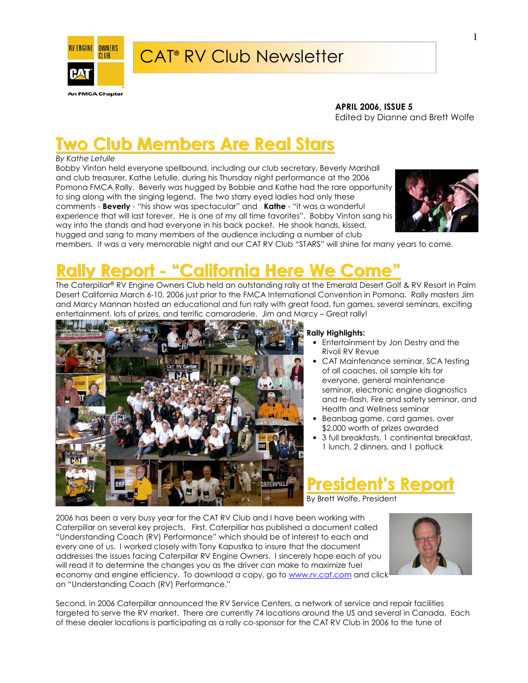

#### APRIL 2006, ISSUE 5

Edited by Dianne and Brett Wolfe

# Two Club Members Are Real Stars

#### By Kathe Letulle

Bobby Vinton held everyone spellbound, including our club secretary, Beverly Marshall and club treasurer, Kathe Letulle, during his Thursday night performance at the 2006 Pomona FMCA Rally. Beverly was hugged by Bobbie and Kathe had the rare opportunity to sing along with the singing legend. The two starry eyed ladies had only these comments - Beverly - "his show was spectacular" and Kathe - "it was a wonderful experience that will last forever. He is one of my all time favorites". Bobby Vinton sang his way into the stands and had everyone in his back pocket. He shook hands, kissed, hugged and sang to many members of the audience including a number of club



members. It was a very memorable night and our CAT RV Club "STARS" will shine for many years to come.

# Rally Report - "California Here We Come"

The Caterpillar® RV Engine Owners Club held an outstanding rally at the Emerald Desert Golf & RV Resort in Palm Desert California March 6-10, 2006 just prior to the FMCA International Convention in Pomona. Rally masters Jim and Marcy Mannan hosted an educational and fun rally with great food, fun games, several seminars, exciting entertainment, lots of prizes, and terrific camaraderie. Jim and Marcy – Great rally!



#### Rally Highlights:

- Entertainment by Jon Destry and the Rivoli RV Revue
- CAT Maintenance seminar, SCA testing of all coaches, oil sample kits for everyone, general maintenance seminar, electronic engine diagnostics and re-flash, Fire and safety seminar, and Health and Wellness seminar
- Beanbag game, card games, over \$2,000 worth of prizes awarded
- 3 full breakfasts, 1 continental breakfast, 1 lunch, 2 dinners, and 1 potluck

President's Report

By Brett Wolfe, President

2006 has been a very busy year for the CAT RV Club and I have been working with Caterpillar on several key projects. First, Caterpillar has published a document called "Understanding Coach (RV) Performance" which should be of interest to each and every one of us. I worked closely with Tony Kapustka to insure that the document addresses the issues facing Caterpillar RV Engine Owners. I sincerely hope each of you will read it to determine the changes you as the driver can make to maximize fuel economy and engine efficiency. To download a copy, go to www.rv.cat.com and click on "Understanding Coach (RV) Performance."



Second, in 2006 Caterpillar announced the RV Service Centers, a network of service and repair facilities targeted to serve the RV market. There are currently 74 locations around the US and several in Canada. Each of these dealer locations is participating as a rally co-sponsor for the CAT RV Club in 2006 to the tune of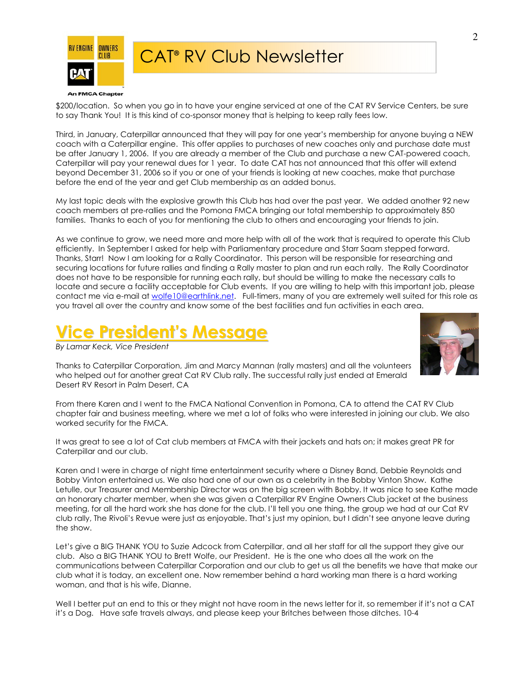

**An FMCA Chapter** 

\$200/location. So when you go in to have your engine serviced at one of the CAT RV Service Centers, be sure to say Thank You! It is this kind of co-sponsor money that is helping to keep rally fees low.

Third, in January, Caterpillar announced that they will pay for one year's membership for anyone buying a NEW coach with a Caterpillar engine. This offer applies to purchases of new coaches only and purchase date must be after January 1, 2006. If you are already a member of the Club and purchase a new CAT-powered coach, Caterpillar will pay your renewal dues for 1 year. To date CAT has not announced that this offer will extend beyond December 31, 2006 so if you or one of your friends is looking at new coaches, make that purchase before the end of the year and get Club membership as an added bonus.

My last topic deals with the explosive growth this Club has had over the past year. We added another 92 new coach members at pre-rallies and the Pomona FMCA bringing our total membership to approximately 850 families. Thanks to each of you for mentioning the club to others and encouraging your friends to join.

As we continue to grow, we need more and more help with all of the work that is required to operate this Club efficiently. In September I asked for help with Parliamentary procedure and Starr Saam stepped forward. Thanks, Starr! Now I am looking for a Rally Coordinator. This person will be responsible for researching and securing locations for future rallies and finding a Rally master to plan and run each rally. The Rally Coordinator does not have to be responsible for running each rally, but should be willing to make the necessary calls to locate and secure a facility acceptable for Club events. If you are willing to help with this important job, please contact me via e-mail at wolfe10@earthlink.net. Full-timers, many of you are extremely well suited for this role as you travel all over the country and know some of the best facilities and fun activities in each area.

# Vice President's Message

By Lamar Keck, Vice President



Thanks to Caterpillar Corporation, Jim and Marcy Mannan (rally masters) and all the volunteers who helped out for another great Cat RV Club rally. The successful rally just ended at Emerald Desert RV Resort in Palm Desert, CA

From there Karen and I went to the FMCA National Convention in Pomona, CA to attend the CAT RV Club chapter fair and business meeting, where we met a lot of folks who were interested in joining our club. We also worked security for the FMCA.

It was great to see a lot of Cat club members at FMCA with their jackets and hats on; it makes great PR for Caterpillar and our club.

Karen and I were in charge of night time entertainment security where a Disney Band, Debbie Reynolds and Bobby Vinton entertained us. We also had one of our own as a celebrity in the Bobby Vinton Show. Kathe Letulle, our Treasurer and Membership Director was on the big screen with Bobby. It was nice to see Kathe made an honorary charter member, when she was given a Caterpillar RV Engine Owners Club jacket at the business meeting, for all the hard work she has done for the club. I'll tell you one thing, the group we had at our Cat RV club rally, The Rivoli's Revue were just as enjoyable. That's just my opinion, but I didn't see anyone leave during the show.

Let's give a BIG THANK YOU to Suzie Adcock from Caterpillar, and all her staff for all the support they give our club. Also a BIG THANK YOU to Brett Wolfe, our President. He is the one who does all the work on the communications between Caterpillar Corporation and our club to get us all the benefits we have that make our club what it is today, an excellent one. Now remember behind a hard working man there is a hard working woman, and that is his wife, Dianne.

Well I better put an end to this or they might not have room in the news letter for it, so remember if it's not a CAT it's a Dog. Have safe travels always, and please keep your Britches between those ditches. 10-4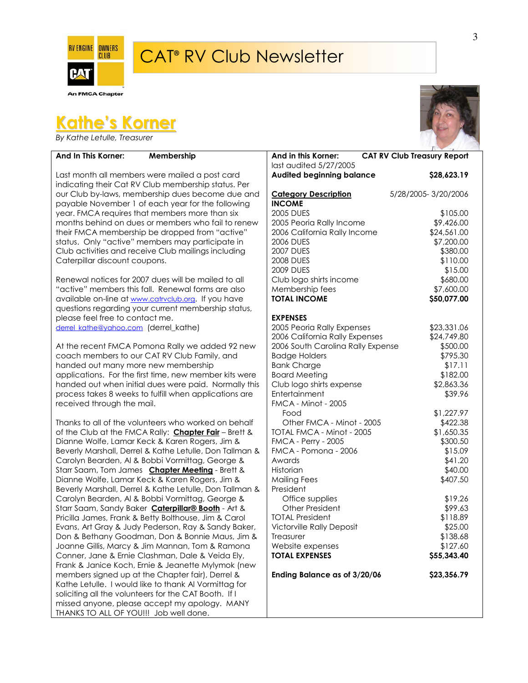

**An FMCA Chapter** 

# Kathe's Korner

By Kathe Letulle, Treasurer

#### And In This Korner: Membership

Last month all members were mailed a post card indicating their Cat RV Club membership status. Per our Club by-laws, membership dues become due and payable November 1 of each year for the following year. FMCA requires that members more than six months behind on dues or members who fail to renew their FMCA membership be dropped from "active" status. Only "active" members may participate in Club activities and receive Club mailings including Caterpillar discount coupons.

Renewal notices for 2007 dues will be mailed to all "active" members this fall. Renewal forms are also available on-line at www.catrvclub.org. If you have questions regarding your current membership status, please feel free to contact me. derrel\_kathe@yahoo.com (derrel\_kathe)

At the recent FMCA Pomona Rally we added 92 new coach members to our CAT RV Club Family, and handed out many more new membership applications. For the first time, new member kits were handed out when initial dues were paid. Normally this process takes 8 weeks to fulfill when applications are received through the mail.

Thanks to all of the volunteers who worked on behalf of the Club at the FMCA Rally: **Chapter Fair** – Brett & Dianne Wolfe, Lamar Keck & Karen Rogers, Jim & Beverly Marshall, Derrel & Kathe Letulle, Don Tallman & Carolyn Bearden, Al & Bobbi Vormittag, George & Starr Saam, Tom James Chapter Meeting - Brett & Dianne Wolfe, Lamar Keck & Karen Rogers, Jim & Beverly Marshall, Derrel & Kathe Letulle, Don Tallman & Carolyn Bearden, Al & Bobbi Vormittag, George & Starr Saam, Sandy Baker **Caterpillar® Booth** - Art & Pricilla James, Frank & Betty Bolthouse, Jim & Carol Evans, Art Gray & Judy Pederson, Ray & Sandy Baker, Don & Bethany Goodman, Don & Bonnie Maus, Jim & Joanne Gillis, Marcy & Jim Mannan, Tom & Ramona Conner, Jane & Ernie Clashman, Dale & Veida Ely, Frank & Janice Koch, Ernie & Jeanette Mylymok (new members signed up at the Chapter fair), Derrel & Kathe Letulle. I would like to thank Al Vormittag for soliciting all the volunteers for the CAT Booth. If I missed anyone, please accept my apology. MANY THANKS TO ALL OF YOU!!! Job well done.



| And in this Korner:<br>last audited 5/27/2005                                                                                                                                                                                                                                                                                                                                                                                                                        | <b>CAT RV Club Treasury Report</b>                                                                                                                                                                  |
|----------------------------------------------------------------------------------------------------------------------------------------------------------------------------------------------------------------------------------------------------------------------------------------------------------------------------------------------------------------------------------------------------------------------------------------------------------------------|-----------------------------------------------------------------------------------------------------------------------------------------------------------------------------------------------------|
| <b>Audited beginning balance</b>                                                                                                                                                                                                                                                                                                                                                                                                                                     | \$28,623.19                                                                                                                                                                                         |
| <b>Category Description</b><br><b>INCOME</b>                                                                                                                                                                                                                                                                                                                                                                                                                         | 5/28/2005-3/20/2006                                                                                                                                                                                 |
| <b>2005 DUES</b><br>2005 Peoria Rally Income<br>2006 California Rally Income<br><b>2006 DUES</b><br><b>2007 DUES</b><br><b>2008 DUES</b><br><b>2009 DUES</b><br>Club logo shirts income<br>Membership fees<br><b>TOTAL INCOME</b>                                                                                                                                                                                                                                    | \$105.00<br>\$9,426.00<br>\$24,561.00<br>\$7,200.00<br>\$380.00<br>\$110.00<br>\$15.00<br>\$680.00<br>\$7,600.00<br>\$50,077.00                                                                     |
| EXPENSES<br>2005 Peoria Rally Expenses<br>2006 California Rally Expenses<br>2006 South Carolina Rally Expense<br><b>Badge Holders</b><br><b>Bank Charge</b><br><b>Board Meeting</b><br>Club logo shirts expense<br>Entertainment<br><b>FMCA - Minot - 2005</b><br>Food<br>Other FMCA - Minot - 2005<br>TOTAL FMCA - Minot - 2005<br><b>FMCA - Perry - 2005</b><br>FMCA - Pomona - 2006<br>Awards<br>Historian<br><b>Mailing Fees</b><br>President<br>Office supplies | \$23,331.06<br>\$24,749.80<br>\$500.00<br>\$795.30<br>\$17.11<br>\$182.00<br>\$2,863.36<br>\$39.96<br>\$1,227.97<br>\$422.38<br>\$1,650.35<br>\$300.50<br>\$15.09<br>\$41.20<br>\$40.00<br>\$407.50 |
| <b>Other President</b><br><b>TOTAL President</b><br><b>Victorville Rally Deposit</b><br>Treasurer<br>Website expenses<br><b>TOTAL EXPENSES</b>                                                                                                                                                                                                                                                                                                                       | \$19.26<br>\$99.63<br>\$118.89<br>\$25.00<br>\$138.68<br>\$127.60<br>\$55,343.40                                                                                                                    |
| Ending Balance as of 3/20/06                                                                                                                                                                                                                                                                                                                                                                                                                                         | \$23,356.79                                                                                                                                                                                         |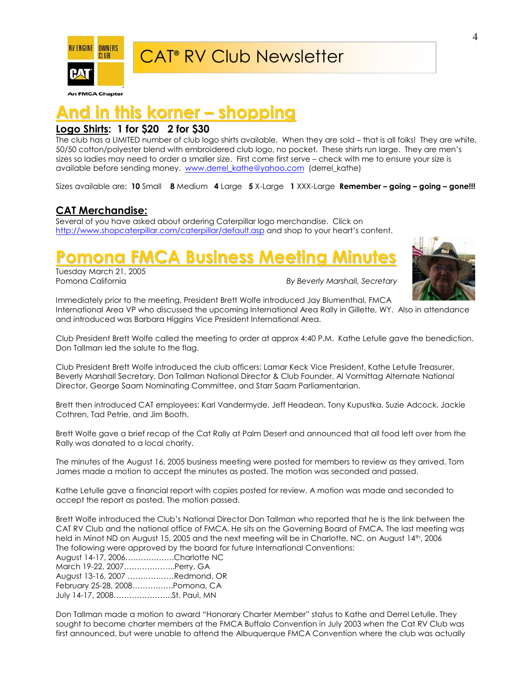

**An FMCA Chapter** 

# d in this korner – shopping

### Logo Shirts: 1 for \$20 2 for \$30

The club has a LIMITED number of club logo shirts available. When they are sold – that is all folks! They are white, 50/50 cotton/polyester blend with embroidered club logo, no pocket. These shirts run large. They are men's sizes so ladies may need to order a smaller size. First come first serve – check with me to ensure your size is available before sending money. www.derrel\_kathe@yahoo.com (derrel\_kathe)

Sizes available are: 10 Small 8 Medium 4 Large 5 X-Large 1 XXX-Large Remember – going – going – gone!!!

### CAT Merchandise:

Several of you have asked about ordering Caterpillar logo merchandise. Click on http://www.shopcaterpillar.com/caterpillar/default.asp and shop to your heart's content.

# **Pomona FMCA Business Meeting Minut**

Tuesday March 21, 2005

By Beverly Marshall, Secretary



Immediately prior to the meeting, President Brett Wolfe introduced Jay Blumenthal, FMCA International Area VP who discussed the upcoming International Area Rally in Gillette, WY. Also in attendance and introduced was Barbara Higgins Vice President International Area.

Club President Brett Wolfe called the meeting to order at approx 4:40 P.M. Kathe Letulle gave the benediction. Don Tallman led the salute to the flag.

Club President Brett Wolfe introduced the club officers: Lamar Keck Vice President, Kathe Letulle Treasurer, Beverly Marshall Secretary, Don Tallman National Director & Club Founder, Al Vormittag Alternate National Director, George Saam Nominating Committee, and Starr Saam Parliamentarian.

Brett then introduced CAT employees: Karl Vandermyde, Jeff Headean, Tony Kupustka, Suzie Adcock, Jackie Cothren, Tad Petrie, and Jim Booth.

Brett Wolfe gave a brief recap of the Cat Rally at Palm Desert and announced that all food left over from the Rally was donated to a local charity.

The minutes of the August 16, 2005 business meeting were posted for members to review as they arrived. Tom James made a motion to accept the minutes as posted. The motion was seconded and passed.

Kathe Letulle gave a financial report with copies posted for review. A motion was made and seconded to accept the report as posted. The motion passed.

Brett Wolfe introduced the Club's National Director Don Tallman who reported that he is the link between the CAT RV Club and the national office of FMCA. He sits on the Governing Board of FMCA. The last meeting was held in Minot ND on August 15, 2005 and the next meeting will be in Charlotte, NC. on August 14<sup>th</sup>, 2006 The following were approved by the board for future International Conventions:

| August 14-17, 2006Charlotte NC |  |
|--------------------------------|--|
| March 19-22, 2007Perry, GA     |  |
| August 13-16, 2007 Redmond, OR |  |
| February 25-28, 2008Pomona, CA |  |
|                                |  |
|                                |  |

Don Tallman made a motion to award "Honorary Charter Member" status to Kathe and Derrel Letulle. They sought to become charter members at the FMCA Buffalo Convention in July 2003 when the Cat RV Club was first announced, but were unable to attend the Albuquerque FMCA Convention where the club was actually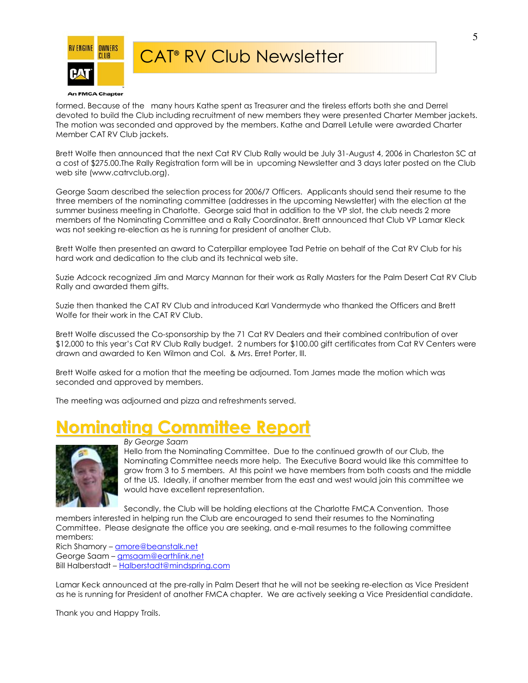

formed. Because of the many hours Kathe spent as Treasurer and the tireless efforts both she and Derrel devoted to build the Club including recruitment of new members they were presented Charter Member jackets. The motion was seconded and approved by the members. Kathe and Darrell Letulle were awarded Charter Member CAT RV Club jackets.

Brett Wolfe then announced that the next Cat RV Club Rally would be July 31-August 4, 2006 in Charleston SC at a cost of \$275.00.The Rally Registration form will be in upcoming Newsletter and 3 days later posted on the Club web site (www.catrvclub.org).

George Saam described the selection process for 2006/7 Officers. Applicants should send their resume to the three members of the nominating committee (addresses in the upcoming Newsletter) with the election at the summer business meeting in Charlotte. George said that in addition to the VP slot, the club needs 2 more members of the Nominating Committee and a Rally Coordinator. Brett announced that Club VP Lamar Kleck was not seeking re-election as he is running for president of another Club.

Brett Wolfe then presented an award to Caterpillar employee Tad Petrie on behalf of the Cat RV Club for his hard work and dedication to the club and its technical web site.

Suzie Adcock recognized Jim and Marcy Mannan for their work as Rally Masters for the Palm Desert Cat RV Club Rally and awarded them gifts.

Suzie then thanked the CAT RV Club and introduced Karl Vandermyde who thanked the Officers and Brett Wolfe for their work in the CAT RV Club.

Brett Wolfe discussed the Co-sponsorship by the 71 Cat RV Dealers and their combined contribution of over \$12,000 to this year's Cat RV Club Rally budget. 2 numbers for \$100.00 gift certificates from Cat RV Centers were drawn and awarded to Ken Wilmon and Col. & Mrs. Erret Porter, lll.

Brett Wolfe asked for a motion that the meeting be adjourned. Tom James made the motion which was seconded and approved by members.

The meeting was adjourned and pizza and refreshments served.

# minatina Committee Report



By George Saam

Hello from the Nominating Committee. Due to the continued growth of our Club, the Nominating Committee needs more help. The Executive Board would like this committee to grow from 3 to 5 members. At this point we have members from both coasts and the middle of the US. Ideally, if another member from the east and west would join this committee we would have excellent representation.

Secondly, the Club will be holding elections at the Charlotte FMCA Convention. Those members interested in helping run the Club are encouraged to send their resumes to the Nominating

Committee. Please designate the office you are seeking, and e-mail resumes to the following committee members:

Rich Shamory - amore@beanstalk.net George Saam – **gmsaam@earthlink.net** Bill Halberstadt – Halberstadt@mindspring.com

Lamar Keck announced at the pre-rally in Palm Desert that he will not be seeking re-election as Vice President as he is running for President of another FMCA chapter. We are actively seeking a Vice Presidential candidate.

Thank you and Happy Trails.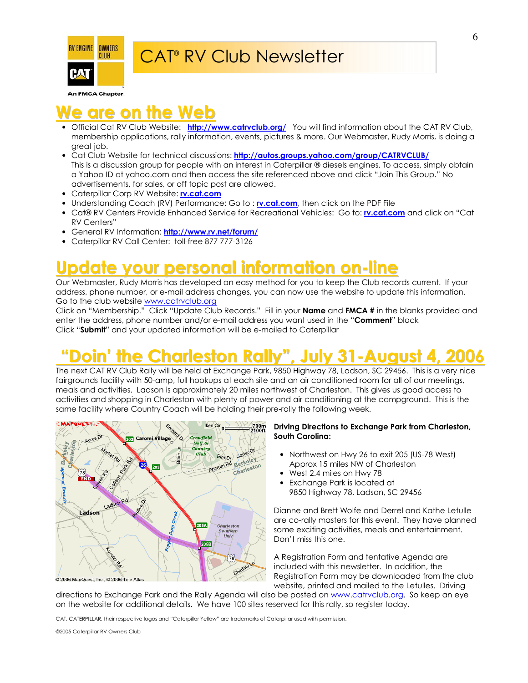

**An FMCA Chapter** 

# are on the Web

- Official Cat RV Club Website: http://www.catrvclub.org/ You will find information about the CAT RV Club, membership applications, rally information, events, pictures & more. Our Webmaster, Rudy Morris, is doing a great job.
- Cat Club Website for technical discussions: http://autos.groups.yahoo.com/group/CATRVCLUB/ This is a discussion group for people with an interest in Caterpillar ® diesels engines. To access, simply obtain a Yahoo ID at yahoo.com and then access the site referenced above and click "Join This Group." No advertisements, for sales, or off topic post are allowed.
- Caterpillar Corp RV Website: rv.cat.com
- Understanding Coach (RV) Performance: Go to : rv.cat.com, then click on the PDF File
- Cat® RV Centers Provide Enhanced Service for Recreational Vehicles: Go to: *rv.cat.com* and click on "Cat RV Centers"
- General RV Information: http://www.rv.net/forum/
- Caterpillar RV Call Center: toll-free 877 777-3126

## Update your personal information on-line

Our Webmaster, Rudy Morris has developed an easy method for you to keep the Club records current. If your address, phone number, or e-mail address changes, you can now use the website to update this information. Go to the club website www.catrvclub.org

Click on "Membership." Click "Update Club Records." Fill in your **Name** and **FMCA** # in the blanks provided and enter the address, phone number and/or e-mail address you want used in the "**Comment**" block Click "Submit" and your updated information will be e-mailed to Caterpillar

# "Doin' the Charleston Rally" , July 31-August 4, 2006

The next CAT RV Club Rally will be held at Exchange Park, 9850 Highway 78, Ladson, SC 29456. This is a very nice fairgrounds facility with 50-amp, full hookups at each site and an air conditioned room for all of our meetings, meals and activities. Ladson is approximately 20 miles northwest of Charleston. This gives us good access to activities and shopping in Charleston with plenty of power and air conditioning at the campground. This is the same facility where Country Coach will be holding their pre-rally the following week.



#### Driving Directions to Exchange Park from Charleston, South Carolina:

- Northwest on Hwy 26 to exit 205 (US-78 West) Approx 15 miles NW of Charleston
- West 2.4 miles on Hwy 78
- Exchange Park is located at 9850 Highway 78, Ladson, SC 29456

Dianne and Brett Wolfe and Derrel and Kathe Letulle are co-rally masters for this event. They have planned some exciting activities, meals and entertainment. Don't miss this one.

A Registration Form and tentative Agenda are included with this newsletter. In addition, the Registration Form may be downloaded from the club website, printed and mailed to the Letulles. Driving

directions to Exchange Park and the Rally Agenda will also be posted on www.catrvclub.org. So keep an eye on the website for additional details. We have 100 sites reserved for this rally, so register today.

CAT, CATERPILLAR, their respective logos and "Caterpillar Yellow" are trademarks of Caterpillar used with permission.

©2005 Caterpillar RV Owners Club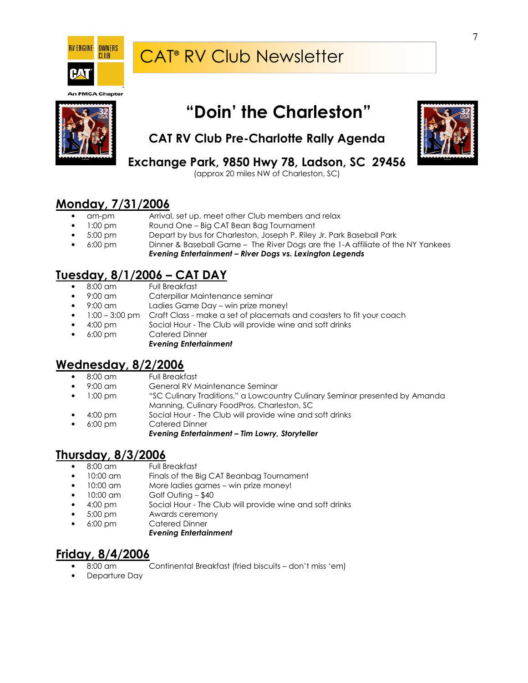

#### **An FMCA Chapter**



# "Doin' the Charleston"



## CAT RV Club Pre-Charlotte Rally Agenda

Exchange Park, 9850 Hwy 78, Ladson, SC 29456

(approx 20 miles NW of Charleston, SC)

### Monday, 7/31/2006

- am-pm Arrival, set up, meet other Club members and relax
- 1:00 pm Round One Big CAT Bean Bag Tournament
- 5:00 pm Depart by bus for Charleston, Joseph P. Riley Jr. Park Baseball Park
- 6:00 pm Dinner & Baseball Game The River Dogs are the 1-A affiliate of the NY Yankees Evening Entertainment – River Dogs vs. Lexington Legends

### Tuesday, 8/1/2006 – CAT DAY

- 8:00 am Full Breakfast
- 9:00 am Caterpillar Maintenance seminar
- 9:00 am Ladies Game Day win prize money!
- 1:00 3:00 pm Craft Class make a set of placemats and coasters to fit your coach
- 4:00 pm Social Hour The Club will provide wine and soft drinks
- 6:00 pm Catered Dinner
	- Evening Entertainment

### Wednesday, 8/2/2006

- 8:00 am Full Breakfast
- General RV Maintenance Seminar
- 1:00 pm "SC Culinary Traditions," a Lowcountry Culinary Seminar presented by Amanda Manning, Culinary FoodPros, Charleston, SC
- 4:00 pm Social Hour The Club will provide wine and soft drinks
- 6:00 pm Catered Dinner

#### Evening Entertainment – Tim Lowry, Storyteller

### Thursday, 8/3/2006

- 8:00 am Full Breakfast
- 10:00 am Finals of the Big CAT Beanbag Tournament
- 10:00 am More ladies games win prize money!
- 10:00 am Golf Outing \$40
- 4:00 pm Social Hour The Club will provide wine and soft drinks
- 5:00 pm Awards ceremony
- 6:00 pm Catered Dinner
	- Evening Entertainment

### Friday, 8/4/2006

- 8:00 am Continental Breakfast (fried biscuits don't miss 'em)
- Departure Day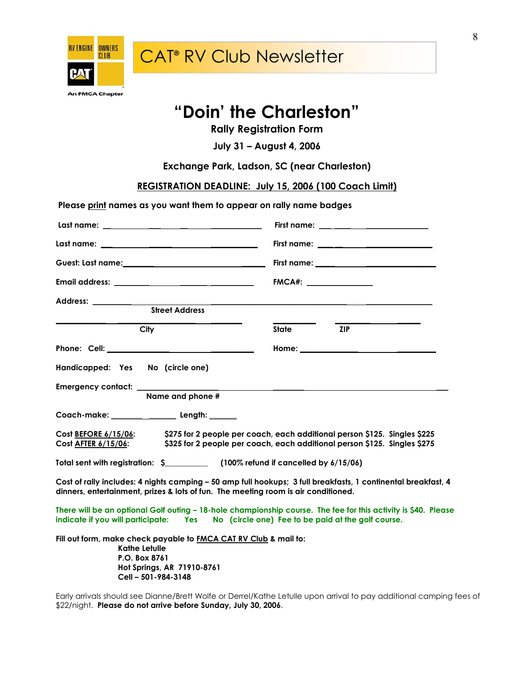

## "Doin' the Charleston"

Rally Registration Form

July 31 – August 4, 2006

Exchange Park, Ladson, SC (near Charleston)

REGISTRATION DEADLINE: July 15, 2006 (100 Coach Limit)

Please print names as you want them to appear on rally name badges

|                                                                                                                                                                                                            | First name: ____________________________                                                                                                               |
|------------------------------------------------------------------------------------------------------------------------------------------------------------------------------------------------------------|--------------------------------------------------------------------------------------------------------------------------------------------------------|
|                                                                                                                                                                                                            |                                                                                                                                                        |
|                                                                                                                                                                                                            |                                                                                                                                                        |
|                                                                                                                                                                                                            | FMCA#:                                                                                                                                                 |
|                                                                                                                                                                                                            |                                                                                                                                                        |
| <b>Street Address</b>                                                                                                                                                                                      |                                                                                                                                                        |
| City                                                                                                                                                                                                       | <b>State</b><br><b>ZIP</b>                                                                                                                             |
|                                                                                                                                                                                                            |                                                                                                                                                        |
| Handicapped: Yes No (circle one)                                                                                                                                                                           |                                                                                                                                                        |
| Emergency contact: _______________<br>Name and phone #                                                                                                                                                     |                                                                                                                                                        |
|                                                                                                                                                                                                            |                                                                                                                                                        |
| Cost BEFORE 6/15/06:<br>Cost <u>AFTER 6/15/06</u> :                                                                                                                                                        | \$275 for 2 people per coach, each additional person \$125. Singles \$225<br>\$325 for 2 people per coach, each additional person \$125. Singles \$275 |
| Total sent with registration: \$ (100% refund if cancelled by 6/15/06)                                                                                                                                     |                                                                                                                                                        |
| Cost of rally includes: 4 nights camping - 50 amp full hookups; 3 full breakfasts, 1 continental breakfast, 4<br>dinners, entertainment, prizes & lots of fun. The meeting room is air conditioned.        |                                                                                                                                                        |
| There will be an optional Golf outing – 18-hole championship course. The fee for this activity is \$40. Please<br>indicate if you will participate: Yes No (circle one) Fee to be paid at the golf course. |                                                                                                                                                        |
| Fill out form, make check payable to <b>FMCA CAT RV Club</b> & mail to:<br><b>Kathe Letulle</b><br>P.O. Box 8761                                                                                           |                                                                                                                                                        |

Early arrivals should see Dianne/Brett Wolfe or Derrel/Kathe Letulle upon arrival to pay additional camping fees of \$22/night. Please do not arrive before Sunday, July 30, 2006.

 Hot Springs, AR 71910-8761 Cell – 501-984-3148